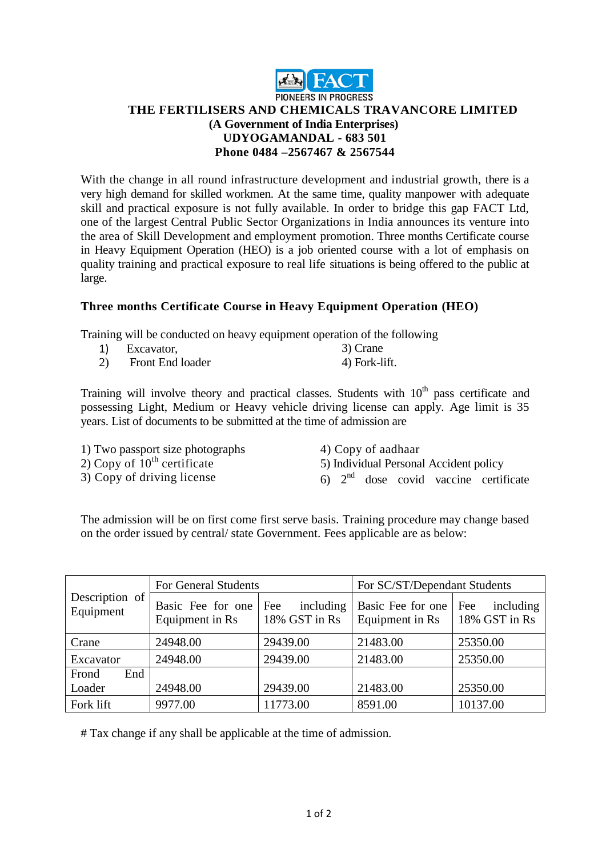

## **PIONEERS IN PROGRESS THE FERTILISERS AND CHEMICALS TRAVANCORE LIMITED (A Government of India Enterprises) UDYOGAMANDAL - 683 501 Phone 0484 –2567467 & 2567544**

With the change in all round infrastructure development and industrial growth, there is a very high demand for skilled workmen. At the same time, quality manpower with adequate skill and practical exposure is not fully available. In order to bridge this gap FACT Ltd, one of the largest Central Public Sector Organizations in India announces its venture into the area of Skill Development and employment promotion. Three months Certificate course in Heavy Equipment Operation (HEO) is a job oriented course with a lot of emphasis on quality training and practical exposure to real life situations is being offered to the public at large.

## **Three months Certificate Course in Heavy Equipment Operation (HEO)**

Training will be conducted on heavy equipment operation of the following

| Excavator,              | 3) Crane      |
|-------------------------|---------------|
| <b>Front End loader</b> | 4) Fork-lift. |

Training will involve theory and practical classes. Students with  $10<sup>th</sup>$  pass certificate and possessing Light, Medium or Heavy vehicle driving license can apply. Age limit is 35 years. List of documents to be submitted at the time of admission are

| 1) Two passport size photographs | 4) Copy of aadhaar                      |
|----------------------------------|-----------------------------------------|
| 2) Copy of $10^{th}$ certificate | 5) Individual Personal Accident policy  |
| 3) Copy of driving license       | 6) $2nd$ dose covid vaccine certificate |

The admission will be on first come first serve basis. Training procedure may change based on the order issued by central/ state Government. Fees applicable are as below:

|                             | For General Students                 |                                   | For SC/ST/Dependant Students         |                                   |
|-----------------------------|--------------------------------------|-----------------------------------|--------------------------------------|-----------------------------------|
| Description of<br>Equipment | Basic Fee for one<br>Equipment in Rs | including<br>Fee<br>18% GST in Rs | Basic Fee for one<br>Equipment in Rs | including<br>Fee<br>18% GST in Rs |
| Crane                       | 24948.00                             | 29439.00                          | 21483.00                             | 25350.00                          |
| Excavator                   | 24948.00                             | 29439.00                          | 21483.00                             | 25350.00                          |
| Frond<br>End<br>Loader      | 24948.00                             | 29439.00                          | 21483.00                             | 25350.00                          |
| Fork lift                   | 9977.00                              | 11773.00                          | 8591.00                              | 10137.00                          |

# Tax change if any shall be applicable at the time of admission.